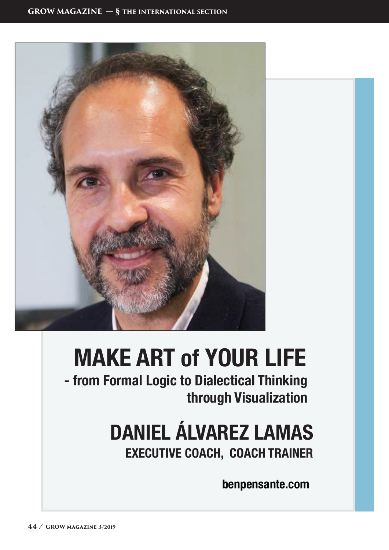

# **MAKE ART of YOUR LIFE**

**- from Formal Logic to Dialectical Thinking through Visualization**

# **DANIEL ÁLVAREZ LAMAS**

**EXECUTIVE COACH, COACH TRAINER**

**benpensante.com**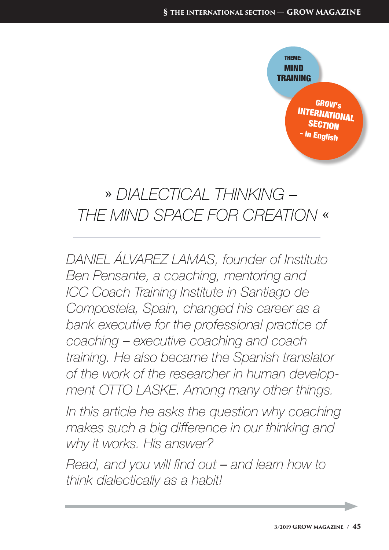

### » *DIALECTICAL THINKING* ‒  *THE MIND SPACE FOR CREATION* «

*DANIEL ÁLVAREZ LAMAS, founder of Instituto Ben Pensante, a coaching, mentoring and ICC Coach Training Institute in Santiago de Compostela, Spain, changed his career as a bank executive for the professional practice of coaching* ‒ *executive coaching and coach training. He also became the Spanish translator of the work of the researcher in human development OTTO LASKE. Among many other things.*

*In this article he asks the question why coaching makes such a big difference in our thinking and why it works. His answer?* 

*Read, and you will find out – and learn how to think dialectically as a habit!*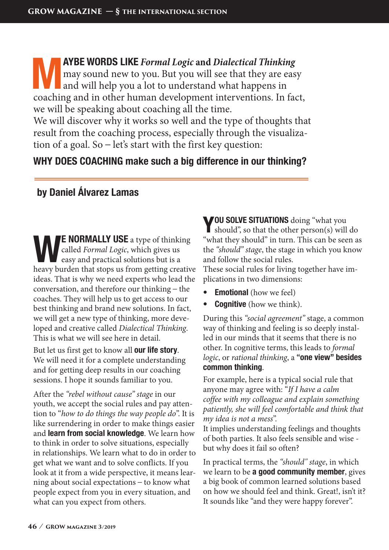**MAYBE WORDS LIKE** *Formal Logic* and *Dialectical Thinking* may sound new to you. But you will see that they are eased and will help you a lot to understand what happens in coaching and in other human development interven may sound new to you. But you will see that they are easy and will help you a lot to understand what happens in coaching and in other human development interventions. In fact, we will be speaking about coaching all the time.

We will discover why it works so well and the type of thoughts that result from the coaching process, especially through the visualization of a goal. So  $-$  let's start with the first key question:

#### **WHY DOES COACHING make such a big difference in our thinking?**

#### **by Daniel Álvarez Lamas** l,

**E NORMALLY USE** a type of thinking called *Formal Logic*, which gives us easy and practical solutions but is a heavy burden that stops us from getting creative ideas. That is why we need experts who lead the conversation, and therefore our thinking – the coaches. They will help us to get access to our best thinking and brand new solutions. In fact, we will get a new type of thinking, more developed and creative called *Dialectical Thinking*. This is what we will see here in detail.

But let us first get to know all **our life story**. We will need it for a complete understanding and for getting deep results in our coaching sessions. I hope it sounds familiar to you.

After the *"rebel without cause" stage* in our youth, we accept the social rules and pay attention to "*how to do things the way people do*". It is like surrendering in order to make things easier and **learn from social knowledge**. We learn how to think in order to solve situations, especially in relationships. We learn what to do in order to get what we want and to solve conflicts. If you look at it from a wide perspective, it means learning about social expectations  $-$  to know what people expect from you in every situation, and what can you expect from others.

**YOU SOLVE SITUATIONS** doing "what you should", so that the other person(s) will do "what they should" in turn. This can be seen as the *"should" stage*, the stage in which you know and follow the social rules.

These social rules for living together have implications in two dimensions:

- **Emotional** (how we feel)
- **• Cognitive** (how we think).

During this *"social agreement"* stage, a common way of thinking and feeling is so deeply installed in our minds that it seems that there is no other. In cognitive terms, this leads to *formal logic*, or *rational thinking*, a **"one view" besides common thinking**.

For example, here is a typical social rule that anyone may agree with: "*If I have a calm coffee with my colleague and explain something patiently, she will feel comfortable and think that my idea is not a mess*".

It implies understanding feelings and thoughts of both parties. It also feels sensible and wise but why does it fail so often?

In practical terms, the *"should" stage*, in which we learn to be **a good community member**, gives a big book of common learned solutions based on how we should feel and think. Great!, isn't it? It sounds like "and they were happy forever".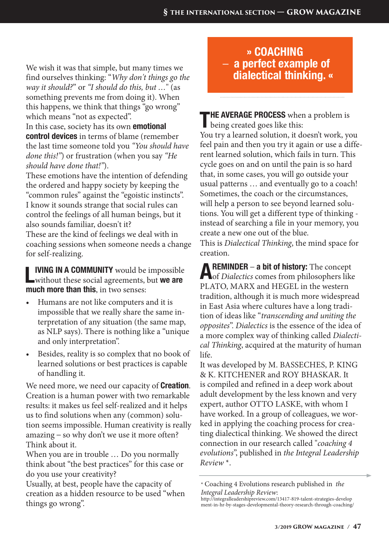We wish it was that simple, but many times we find ourselves thinking: "*Why don't things go the way it should?*" or *"I should do this, but …*" (as something prevents me from doing it). When this happens, we think that things "go wrong" which means "not as expected".

In this case, society has its own **emotional control devices** in terms of blame (remember the last time someone told you *"You should have done this!"*) or frustration (when you say *"He should have done that!"*).

These emotions have the intention of defending the ordered and happy society by keeping the "common rules" against the "egoistic instincts". I know it sounds strange that social rules can control the feelings of all human beings, but it also sounds familiar, doesn't it? These are the kind of feelings we deal with in coaching sessions when someone needs a change for self-realizing.

**LIVING IN A COMMUNITY** would be impossible without these social agreements, but **we are much more than this**, in two senses:

- Humans are not like computers and it is impossible that we really share the same interpretation of any situation (the same map, as NLP says). There is nothing like a "unique and only interpretation".
- Besides, reality is so complex that no book of learned solutions or best practices is capable of handling it.

We need more, we need our capacity of **Creation**. Creation is a human power with two remarkable results: it makes us feel self-realized and it helps us to find solutions when any (common) solution seems impossible. Human creativity is really  $amazing - so why don't we use it more often?$ Think about it.

When you are in trouble … Do you normally think about "the best practices" for this case or do you use your creativity?

Usually, at best, people have the capacity of creation as a hidden resource to be used "when things go wrong".

#### **» COACHING**  ‒ **a perfect example of dialectical thinking. «**

**THE AVERAGE PROCESS** when a problem is being created goes like this: You try a learned solution, it doesn't work, you feel pain and then you try it again or use a different learned solution, which fails in turn. This cycle goes on and on until the pain is so hard that, in some cases, you will go outside your usual patterns … and eventually go to a coach! Sometimes, the coach or the circumstances, will help a person to see beyond learned solutions. You will get a different type of thinking instead of searching a file in your memory, you create a new one out of the blue.

This is *Dialectical Thinking*, the mind space for creation.

**AREMINDER – a bit of history:** The concept of *Dialectics* comes from philosophers like PLATO, MARX and HEGEL in the western tradition, although it is much more widespread in East Asia where cultures have a long tradition of ideas like "*transcending and uniting the opposites*". *Dialectics* is the essence of the idea of a more complex way of thinking called *Dialectical Thinking*, acquired at the maturity of human life.

It was developed by M. BASSECHES, P. KING & K. KITCHENER and ROY BHASKAR. It is compiled and refined in a deep work about adult development by the less known and very expert, author OTTO LASKE, with whom I have worked. In a group of colleagues, we worked in applying the coaching process for creating dialectical thinking. We showed the direct connection in our research called "*coaching 4 evolutions*", published in *the Integral Leadership Review* \*.

<sup>\*</sup> Coaching 4 Evolutions research published in *the Integral Leadership Review*:

http://integralleadershipreview.com/13417-819-talent-strategies-develop ment-in-hr-by-stages-developmental-theory-research-through-coaching/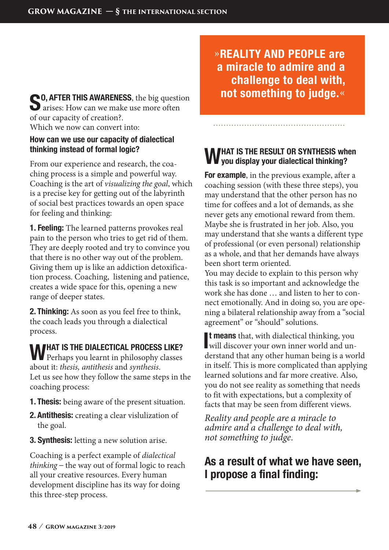**CO, AFTER THIS AWARENESS**, the big question **d** arises: How can we make use more often of our capacity of creation?. Which we now can convert into:

#### **How can we use our capacity of dialectical thinking instead of formal logic?**

From our experience and research, the coaching process is a simple and powerful way. Coaching is the art of *visualizing the goal*, which is a precise key for getting out of the labyrinth of social best practices towards an open space for feeling and thinking:

**1. Feeling:** The learned patterns provokes real pain to the person who tries to get rid of them. They are deeply rooted and try to convince you that there is no other way out of the problem. Giving them up is like an addiction detoxification process. Coaching, listening and patience, creates a wide space for this, opening a new range of deeper states.

**2. Thinking:** As soon as you feel free to think, the coach leads you through a dialectical process.

### WHAT IS THE DIALECTICAL PROCESS LIKE?<br>Perhaps you learnt in philosophy classes about it: *thesis, antithesis* and *synthesis*.

Let us see how they follow the same steps in the coaching process:

- **1. Thesis:** being aware of the present situation.
- **2. Antithesis:** creating a clear vislulization of the goal.
- **3. Synthesis:** letting a new solution arise.

Coaching is a perfect example of *dialectical thinking* ‒ the way out of formal logic to reach all your creative resources. Every human development discipline has its way for doing this three-step process.

»**REALITY AND PEOPLE are a miracle to admire and a challenge to deal with, not something to judge.**«

#### **WHAT IS THE RESULT OR SYNTHESIS when you display your dialectical thinking?**

**For example**, in the previous example, after a coaching session (with these three steps), you may understand that the other person has no time for coffees and a lot of demands, as she never gets any emotional reward from them. Maybe she is frustrated in her job. Also, you may understand that she wants a different type of professional (or even personal) relationship as a whole, and that her demands have always been short term oriented.

You may decide to explain to this person why this task is so important and acknowledge the work she has done … and listen to her to connect emotionally. And in doing so, you are opening a bilateral relationship away from a "social agreement" or "should" solutions.

It means that, with dialectical thinking, you will discover your own inner world and un**t means** that, with dialectical thinking, you derstand that any other human being is a world in itself. This is more complicated than applying learned solutions and far more creative. Also, you do not see reality as something that needs to fit with expectations, but a complexity of facts that may be seen from different views.

*Reality and people are a miracle to admire and a challenge to deal with, not something to judge*.

#### **As a result of what we have seen, I propose a final finding:**